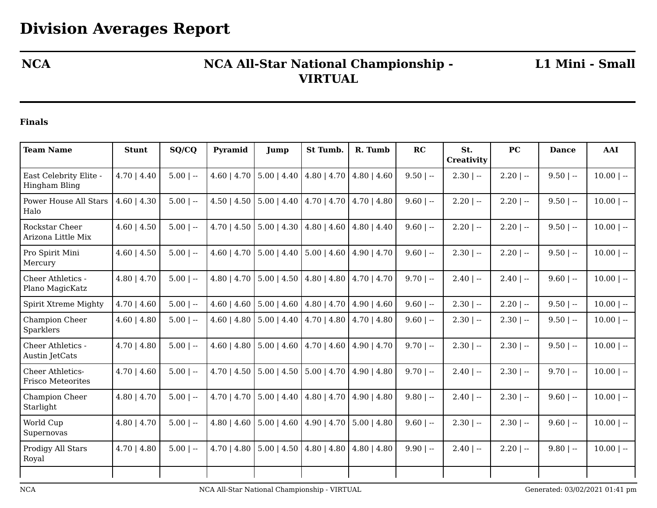## **NCA NCA All-Star National Championship - VIRTUAL**

**L1 Mini - Small**

## **Finals**

| <b>Team Name</b>                             | <b>Stunt</b>     | SQ/CQ       | Pyramid          | Jump                  | St Tumb.              | R. Tumb                           | RC          | St.<br>Creativity | PC           | <b>Dance</b> | <b>AAI</b>   |
|----------------------------------------------|------------------|-------------|------------------|-----------------------|-----------------------|-----------------------------------|-------------|-------------------|--------------|--------------|--------------|
| East Celebrity Elite -<br>Hingham Bling      | $4.70$   $4.40$  | $5.00$   -- | $4.60$   $4.70$  | $5.00$   $4.40$       | $4.80$   $4.70$       | $4.80$   $4.60$                   | $9.50$   -- | $2.30$   --       | $2.20$   --  | $9.50$   --  | $10.00$   -- |
| Power House All Stars<br>Halo                | $4.60 \mid 4.30$ | $5.00$   -- | $4.50$   $4.50$  | $5.00 \mid 4.40 \mid$ |                       | $4.70$   $4.70$   $4.70$   $4.80$ | $9.60$   -- | $2.20$   $-$      | $2.20$   $-$ | $9.50$   --  | $10.00$   -- |
| Rockstar Cheer<br>Arizona Little Mix         | $4.60$   $4.50$  | $5.00$   -- | $4.70$   $4.50$  | $5.00 \mid 4.30$      | $4.80 \mid 4.60$      | $4.80$   $4.40$                   | $9.60$   -- | $2.20$   $-$      | $2.20$   --  | $9.50$   --  | $10.00$   -- |
| Pro Spirit Mini<br>Mercury                   | $4.60$   $4.50$  | $5.00$   -- | $4.60$   $4.70$  | $5.00$   4.40         | $5.00 \mid 4.60 \mid$ | $4.90 \mid 4.70$                  | $9.60$   -- | $2.30$   $-$      | $2.20$   --  | $9.50$   --  | $10.00$   -- |
| Cheer Athletics -<br>Plano MagicKatz         | $4.80$   $4.70$  | $5.00$   -- | $4.80$   $4.70$  | $5.00$   4.50         |                       | $4.80$   $4.80$   $4.70$   $4.70$ | $9.70$   -- | $2.40$   $-$      | $2.40$   --  | $9.60$   --  | $10.00$   -- |
| Spirit Xtreme Mighty                         | $4.70$   $4.60$  | $5.00$   -- | $4.60$   $4.60$  | $5.00 \mid 4.60$      |                       | $4.80$   $4.70$   $4.90$   $4.60$ | $9.60$   -- | $2.30$   --       | $2.20$   --  | $9.50$   --  | $10.00$   -- |
| Champion Cheer<br>Sparklers                  | $4.60$   $4.80$  | $5.00$   -- | $4.60 \mid 4.80$ | $5.00$   $4.40$       | $4.70$   $4.80$       | $4.70$   $4.80$                   | $9.60$   -- | $2.30$   --       | $2.30$   --  | $9.50$   --  | $10.00$   -- |
| Cheer Athletics -<br>Austin JetCats          | $4.70$   $4.80$  | $5.00$   -- | $4.60 \mid 4.80$ | $5.00 \mid 4.60$      | $4.70 \mid 4.60 \mid$ | $4.90 \mid 4.70$                  | $9.70$   -- | $2.30$   --       | $2.30$   --  | $9.50$   --  | $10.00$   -- |
| Cheer Athletics-<br><b>Frisco Meteorites</b> | $4.70$   $4.60$  | $5.00$   -- | $4.70$   $4.50$  | $5.00$   $4.50$       | $5.00$   4.70         | $4.90$   $4.80$                   | $9.70$   -- | $2.40$   $-$      | $2.30$   --  | $9.70$   --  | $10.00$   -- |
| Champion Cheer<br>Starlight                  | $4.80$   $4.70$  | $5.00$   -- | $4.70$   $4.70$  | $5.00 \mid 4.40$      | $4.80$   $4.70$       | $4.90 \mid 4.80$                  | $9.80$   -- | $2.40$   $-$      | $2.30$   --  | $9.60$   --  | $10.00$   -- |
| World Cup<br>Supernovas                      | $4.80$   $4.70$  | $5.00$   -- | $4.80 \mid 4.60$ | $5.00$   $4.60$       | $4.90 \mid 4.70 \mid$ | $5.00$   4.80                     | $9.60$   -- | $2.30$   --       | $2.30$   --  | $9.60$   --  | $10.00$   -- |
| Prodigy All Stars<br>Royal                   | $4.70$   $4.80$  | $5.00$   -- | $4.70 \mid 4.80$ | $5.00$   $4.50$       | $4.80$   $4.80$       | $4.80$   $4.80$                   | $9.90$   -- | $2.40$   $-$      | $2.20$   --  | $9.80$   --  | $10.00$   -- |
|                                              |                  |             |                  |                       |                       |                                   |             |                   |              |              |              |